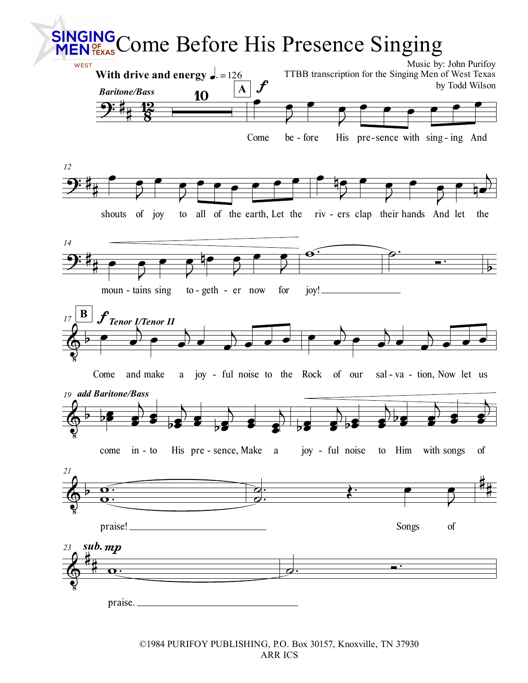

©1984 PURIFOY PUBLISHING, P.O. Box 30157, Knoxville, TN 37930 ARR ICS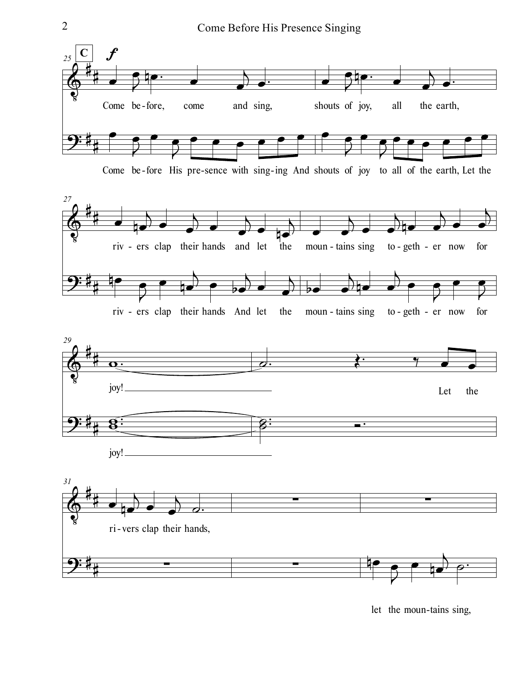

Come be-fore His pre-sence with sing-ing And shouts of joy to all of the earth, Let the







let the moun-tains sing,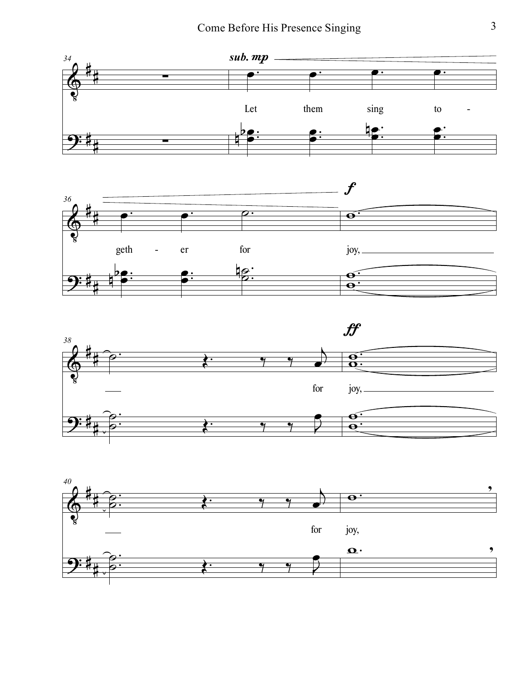